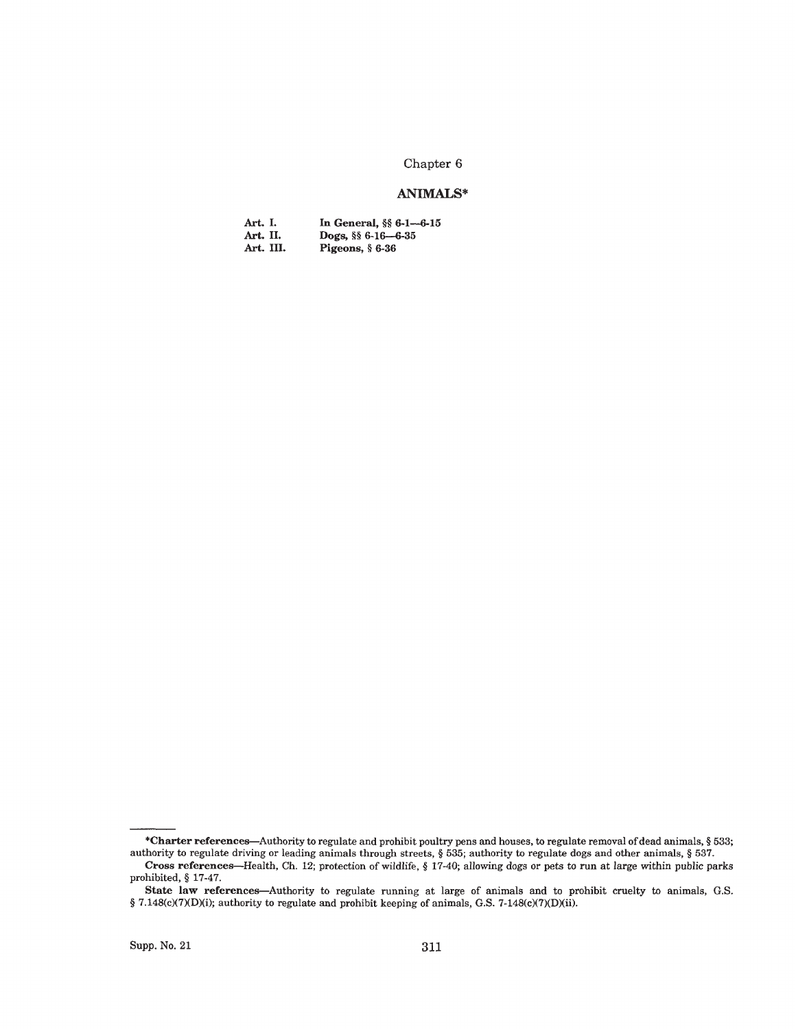# Chapter 6

## **ANIMALS\***

| Art. I.   | In General, $\S$ 6-1-6-15 |
|-----------|---------------------------|
| Art. II.  | Dogs, $\S$ 6-16-6-35      |
| Art. III. | Pigeons, $§$ 6-36         |

<sup>\*</sup>Charter references—Authority to regulate and prohibit poultry pens and houses, to regulate removal of dead animals, § 533; authority to regulate driving or leading animals through streets, § 535; authority to regulate dogs and other animals, § 537.

Cross references—Health, Ch. 12; protection of wildlife, § 17-40; allowing dogs or pets to run at large within public parks prohibited, § 17-47.

State law references—Authority to regulate running at large of animals and to prohibit cruelty to animals, G.S. § 7.148(c)(7)(D)(i); authority to regulate and prohibit keeping of animals, G.S. 7-148(c)(7)(D)(ii).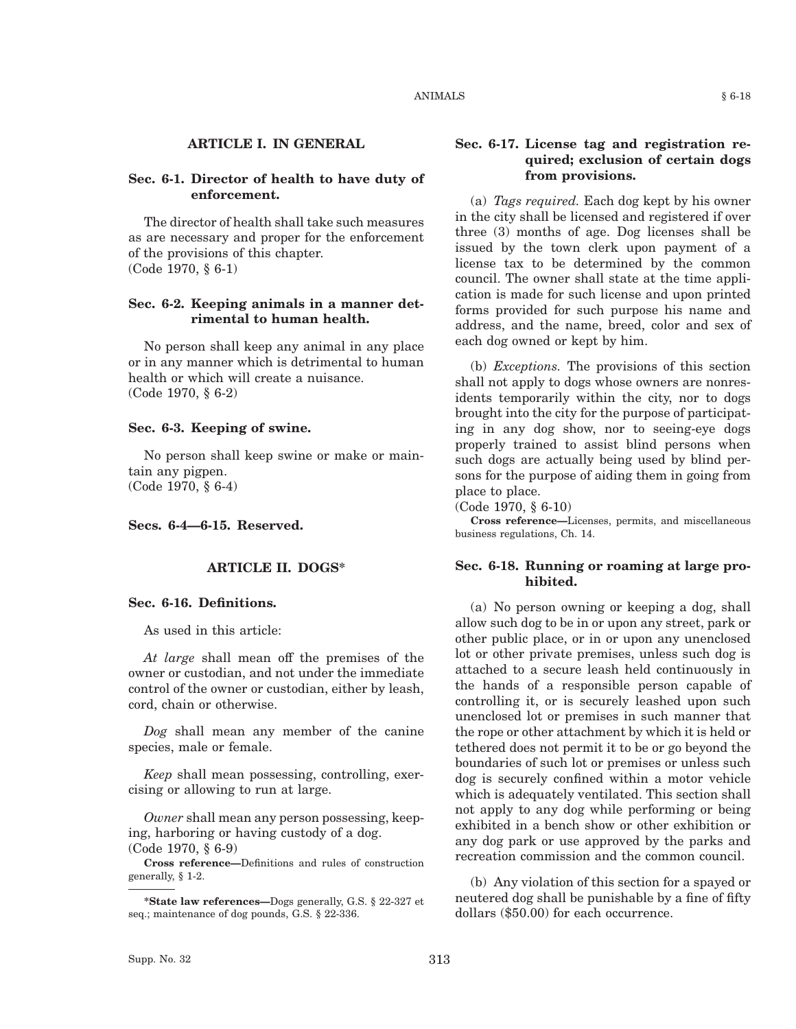## **Sec. 6-1. Director of health to have duty of enforcement.**

The director of health shall take such measures as are necessary and proper for the enforcement of the provisions of this chapter. (Code 1970, § 6-1)

#### **Sec. 6-2. Keeping animals in a manner detrimental to human health.**

No person shall keep any animal in any place or in any manner which is detrimental to human health or which will create a nuisance. (Code 1970, § 6-2)

#### **Sec. 6-3. Keeping of swine.**

No person shall keep swine or make or maintain any pigpen. (Code 1970, § 6-4)

**Secs. 6-4—6-15. Reserved.**

#### **ARTICLE II. DOGS\***

#### **Sec. 6-16. Definitions.**

As used in this article:

*At large* shall mean off the premises of the owner or custodian, and not under the immediate control of the owner or custodian, either by leash, cord, chain or otherwise.

*Dog* shall mean any member of the canine species, male or female.

*Keep* shall mean possessing, controlling, exercising or allowing to run at large.

*Owner* shall mean any person possessing, keeping, harboring or having custody of a dog. (Code 1970, § 6-9)

**Cross reference—**Definitions and rules of construction generally, § 1-2.

## **Sec. 6-17. License tag and registration required; exclusion of certain dogs from provisions.**

(a) *Tags required.* Each dog kept by his owner in the city shall be licensed and registered if over three (3) months of age. Dog licenses shall be issued by the town clerk upon payment of a license tax to be determined by the common council. The owner shall state at the time application is made for such license and upon printed forms provided for such purpose his name and address, and the name, breed, color and sex of each dog owned or kept by him.

(b) *Exceptions.* The provisions of this section shall not apply to dogs whose owners are nonresidents temporarily within the city, nor to dogs brought into the city for the purpose of participating in any dog show, nor to seeing-eye dogs properly trained to assist blind persons when such dogs are actually being used by blind persons for the purpose of aiding them in going from place to place.

(Code 1970, § 6-10)

**Cross reference—**Licenses, permits, and miscellaneous business regulations, Ch. 14.

## **Sec. 6-18. Running or roaming at large prohibited.**

(a) No person owning or keeping a dog, shall allow such dog to be in or upon any street, park or other public place, or in or upon any unenclosed lot or other private premises, unless such dog is attached to a secure leash held continuously in the hands of a responsible person capable of controlling it, or is securely leashed upon such unenclosed lot or premises in such manner that the rope or other attachment by which it is held or tethered does not permit it to be or go beyond the boundaries of such lot or premises or unless such dog is securely confined within a motor vehicle which is adequately ventilated. This section shall not apply to any dog while performing or being exhibited in a bench show or other exhibition or any dog park or use approved by the parks and recreation commission and the common council.

(b) Any violation of this section for a spayed or neutered dog shall be punishable by a fine of fifty dollars (\$50.00) for each occurrence.

**<sup>\*</sup>State law references—**Dogs generally, G.S. § 22-327 et seq.; maintenance of dog pounds, G.S. § 22-336.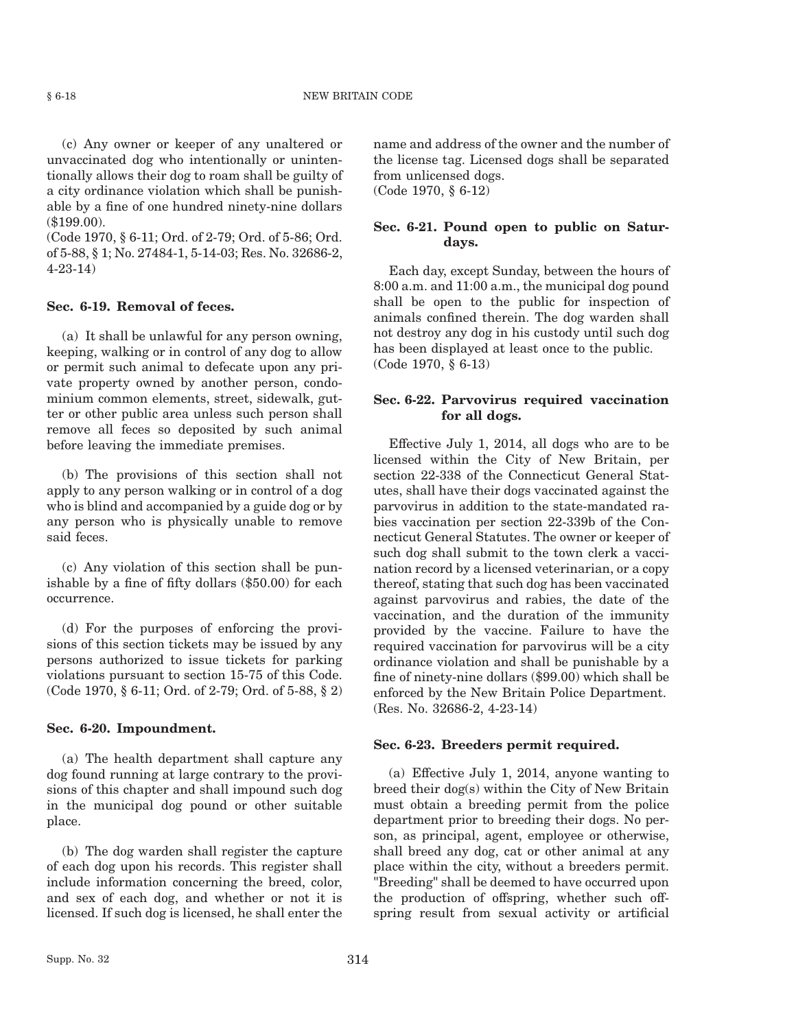(c) Any owner or keeper of any unaltered or unvaccinated dog who intentionally or unintentionally allows their dog to roam shall be guilty of a city ordinance violation which shall be punishable by a fine of one hundred ninety-nine dollars (\$199.00).

(Code 1970, § 6-11; Ord. of 2-79; Ord. of 5-86; Ord. of 5-88, § 1; No. 27484-1, 5-14-03; Res. No. 32686-2, 4-23-14)

#### **Sec. 6-19. Removal of feces.**

(a) It shall be unlawful for any person owning, keeping, walking or in control of any dog to allow or permit such animal to defecate upon any private property owned by another person, condominium common elements, street, sidewalk, gutter or other public area unless such person shall remove all feces so deposited by such animal before leaving the immediate premises.

(b) The provisions of this section shall not apply to any person walking or in control of a dog who is blind and accompanied by a guide dog or by any person who is physically unable to remove said feces.

(c) Any violation of this section shall be punishable by a fine of fifty dollars (\$50.00) for each occurrence.

(d) For the purposes of enforcing the provisions of this section tickets may be issued by any persons authorized to issue tickets for parking violations pursuant to section 15-75 of this Code. (Code 1970, § 6-11; Ord. of 2-79; Ord. of 5-88, § 2)

#### **Sec. 6-20. Impoundment.**

(a) The health department shall capture any dog found running at large contrary to the provisions of this chapter and shall impound such dog in the municipal dog pound or other suitable place.

(b) The dog warden shall register the capture of each dog upon his records. This register shall include information concerning the breed, color, and sex of each dog, and whether or not it is licensed. If such dog is licensed, he shall enter the name and address of the owner and the number of the license tag. Licensed dogs shall be separated from unlicensed dogs. (Code 1970, § 6-12)

# **Sec. 6-21. Pound open to public on Saturdays.**

Each day, except Sunday, between the hours of 8:00 a.m. and 11:00 a.m., the municipal dog pound shall be open to the public for inspection of animals confined therein. The dog warden shall not destroy any dog in his custody until such dog has been displayed at least once to the public. (Code 1970, § 6-13)

# **Sec. 6-22. Parvovirus required vaccination for all dogs.**

Effective July 1, 2014, all dogs who are to be licensed within the City of New Britain, per section 22-338 of the Connecticut General Statutes, shall have their dogs vaccinated against the parvovirus in addition to the state-mandated rabies vaccination per section 22-339b of the Connecticut General Statutes. The owner or keeper of such dog shall submit to the town clerk a vaccination record by a licensed veterinarian, or a copy thereof, stating that such dog has been vaccinated against parvovirus and rabies, the date of the vaccination, and the duration of the immunity provided by the vaccine. Failure to have the required vaccination for parvovirus will be a city ordinance violation and shall be punishable by a fine of ninety-nine dollars (\$99.00) which shall be enforced by the New Britain Police Department. (Res. No. 32686-2, 4-23-14)

#### **Sec. 6-23. Breeders permit required.**

(a) Effective July 1, 2014, anyone wanting to breed their dog(s) within the City of New Britain must obtain a breeding permit from the police department prior to breeding their dogs. No person, as principal, agent, employee or otherwise, shall breed any dog, cat or other animal at any place within the city, without a breeders permit. "Breeding" shall be deemed to have occurred upon the production of offspring, whether such offspring result from sexual activity or artificial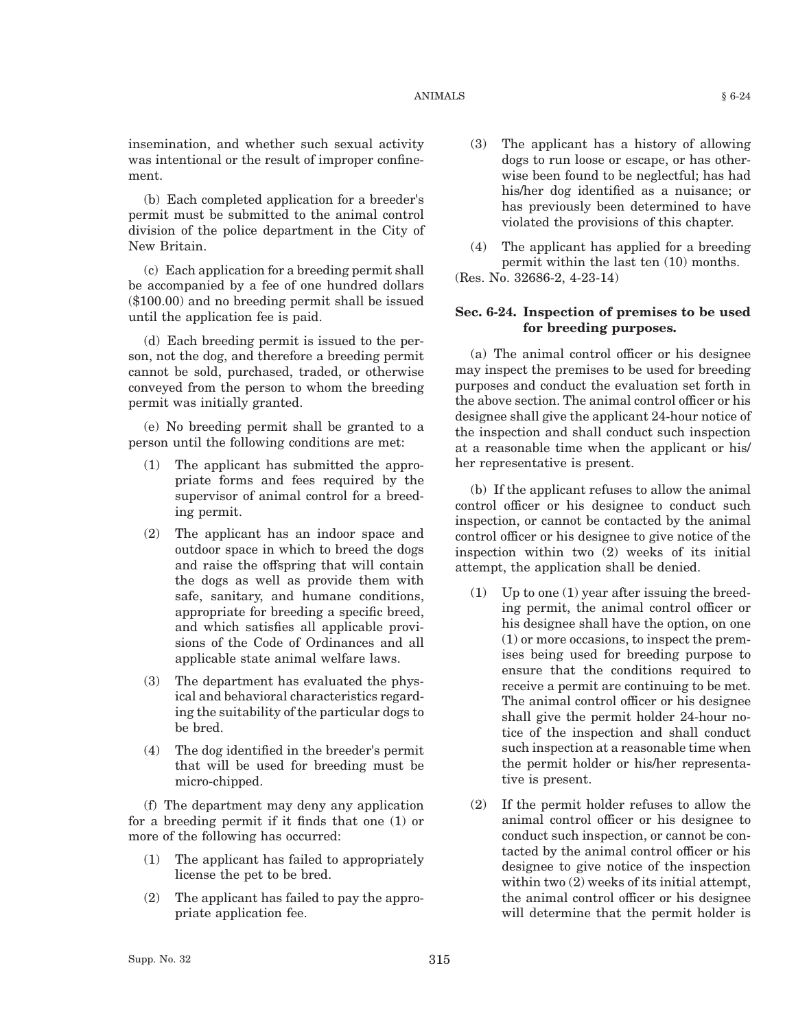insemination, and whether such sexual activity was intentional or the result of improper confinement.

(b) Each completed application for a breeder's permit must be submitted to the animal control division of the police department in the City of New Britain.

(c) Each application for a breeding permit shall be accompanied by a fee of one hundred dollars (\$100.00) and no breeding permit shall be issued until the application fee is paid.

(d) Each breeding permit is issued to the person, not the dog, and therefore a breeding permit cannot be sold, purchased, traded, or otherwise conveyed from the person to whom the breeding permit was initially granted.

(e) No breeding permit shall be granted to a person until the following conditions are met:

- (1) The applicant has submitted the appropriate forms and fees required by the supervisor of animal control for a breeding permit.
- (2) The applicant has an indoor space and outdoor space in which to breed the dogs and raise the offspring that will contain the dogs as well as provide them with safe, sanitary, and humane conditions, appropriate for breeding a specific breed, and which satisfies all applicable provisions of the Code of Ordinances and all applicable state animal welfare laws.
- (3) The department has evaluated the physical and behavioral characteristics regarding the suitability of the particular dogs to be bred.
- (4) The dog identified in the breeder's permit that will be used for breeding must be micro-chipped.

(f) The department may deny any application for a breeding permit if it finds that one (1) or more of the following has occurred:

- (1) The applicant has failed to appropriately license the pet to be bred.
- (2) The applicant has failed to pay the appropriate application fee.
- (3) The applicant has a history of allowing dogs to run loose or escape, or has otherwise been found to be neglectful; has had his/her dog identified as a nuisance; or has previously been determined to have violated the provisions of this chapter.
- (4) The applicant has applied for a breeding permit within the last ten (10) months.

(Res. No. 32686-2, 4-23-14)

# **Sec. 6-24. Inspection of premises to be used for breeding purposes.**

(a) The animal control officer or his designee may inspect the premises to be used for breeding purposes and conduct the evaluation set forth in the above section. The animal control officer or his designee shall give the applicant 24-hour notice of the inspection and shall conduct such inspection at a reasonable time when the applicant or his/ her representative is present.

(b) If the applicant refuses to allow the animal control officer or his designee to conduct such inspection, or cannot be contacted by the animal control officer or his designee to give notice of the inspection within two (2) weeks of its initial attempt, the application shall be denied.

- (1) Up to one (1) year after issuing the breeding permit, the animal control officer or his designee shall have the option, on one (1) or more occasions, to inspect the premises being used for breeding purpose to ensure that the conditions required to receive a permit are continuing to be met. The animal control officer or his designee shall give the permit holder 24-hour notice of the inspection and shall conduct such inspection at a reasonable time when the permit holder or his/her representative is present.
- (2) If the permit holder refuses to allow the animal control officer or his designee to conduct such inspection, or cannot be contacted by the animal control officer or his designee to give notice of the inspection within two  $(2)$  weeks of its initial attempt, the animal control officer or his designee will determine that the permit holder is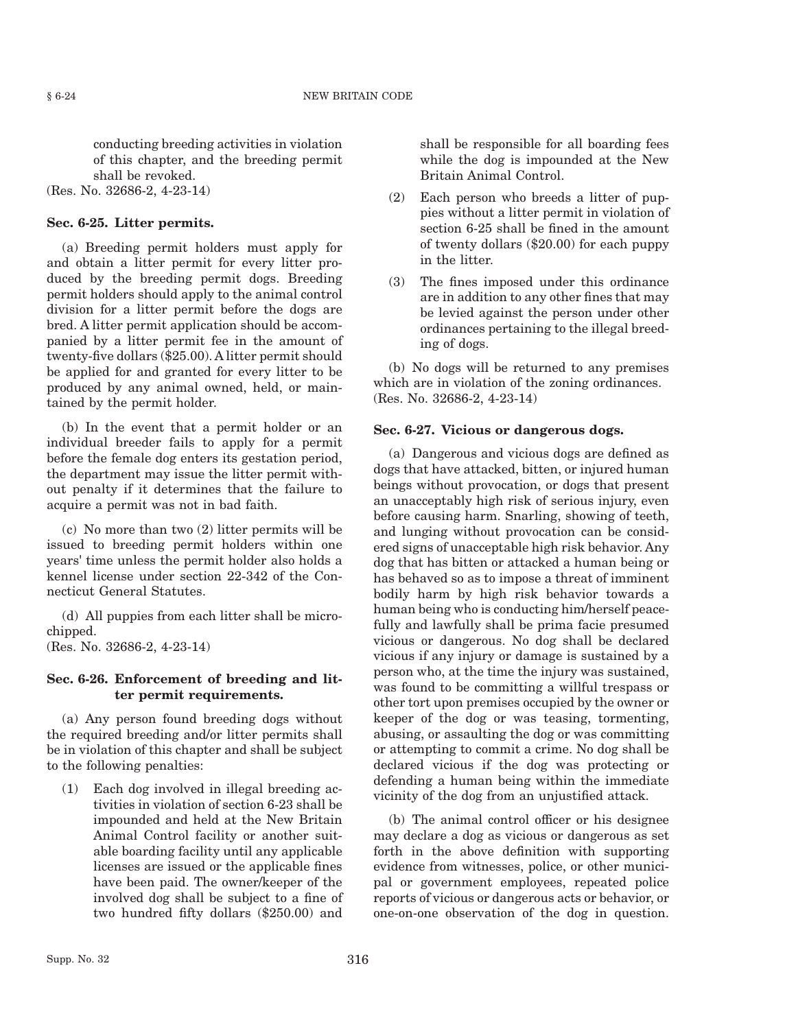conducting breeding activities in violation of this chapter, and the breeding permit shall be revoked.

(Res. No. 32686-2, 4-23-14)

# **Sec. 6-25. Litter permits.**

(a) Breeding permit holders must apply for and obtain a litter permit for every litter produced by the breeding permit dogs. Breeding permit holders should apply to the animal control division for a litter permit before the dogs are bred. A litter permit application should be accompanied by a litter permit fee in the amount of twenty-five dollars (\$25.00). A litter permit should be applied for and granted for every litter to be produced by any animal owned, held, or maintained by the permit holder.

(b) In the event that a permit holder or an individual breeder fails to apply for a permit before the female dog enters its gestation period, the department may issue the litter permit without penalty if it determines that the failure to acquire a permit was not in bad faith.

(c) No more than two (2) litter permits will be issued to breeding permit holders within one years' time unless the permit holder also holds a kennel license under section 22-342 of the Connecticut General Statutes.

(d) All puppies from each litter shall be microchipped.

(Res. No. 32686-2, 4-23-14)

# **Sec. 6-26. Enforcement of breeding and litter permit requirements.**

(a) Any person found breeding dogs without the required breeding and/or litter permits shall be in violation of this chapter and shall be subject to the following penalties:

(1) Each dog involved in illegal breeding activities in violation of section 6-23 shall be impounded and held at the New Britain Animal Control facility or another suitable boarding facility until any applicable licenses are issued or the applicable fines have been paid. The owner/keeper of the involved dog shall be subject to a fine of two hundred fifty dollars (\$250.00) and shall be responsible for all boarding fees while the dog is impounded at the New Britain Animal Control.

- (2) Each person who breeds a litter of puppies without a litter permit in violation of section 6-25 shall be fined in the amount of twenty dollars (\$20.00) for each puppy in the litter.
- (3) The fines imposed under this ordinance are in addition to any other fines that may be levied against the person under other ordinances pertaining to the illegal breeding of dogs.

(b) No dogs will be returned to any premises which are in violation of the zoning ordinances. (Res. No. 32686-2, 4-23-14)

#### **Sec. 6-27. Vicious or dangerous dogs.**

(a) Dangerous and vicious dogs are defined as dogs that have attacked, bitten, or injured human beings without provocation, or dogs that present an unacceptably high risk of serious injury, even before causing harm. Snarling, showing of teeth, and lunging without provocation can be considered signs of unacceptable high risk behavior. Any dog that has bitten or attacked a human being or has behaved so as to impose a threat of imminent bodily harm by high risk behavior towards a human being who is conducting him/herself peacefully and lawfully shall be prima facie presumed vicious or dangerous. No dog shall be declared vicious if any injury or damage is sustained by a person who, at the time the injury was sustained, was found to be committing a willful trespass or other tort upon premises occupied by the owner or keeper of the dog or was teasing, tormenting, abusing, or assaulting the dog or was committing or attempting to commit a crime. No dog shall be declared vicious if the dog was protecting or defending a human being within the immediate vicinity of the dog from an unjustified attack.

(b) The animal control officer or his designee may declare a dog as vicious or dangerous as set forth in the above definition with supporting evidence from witnesses, police, or other municipal or government employees, repeated police reports of vicious or dangerous acts or behavior, or one-on-one observation of the dog in question.